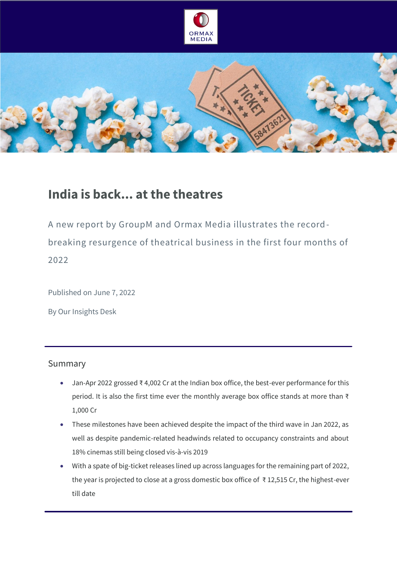



## **India is back... at the theatres**

A new report by GroupM and Ormax Media illustrates the recordbreaking resurgence of theatrical business in the first four months of 2022

Published on June 7, 2022

By Our Insights Desk

## Summary

- Jan-Apr 2022 grossed ₹ 4,002 Cr at the Indian box office, the best-ever performance for this period. It is also the first time ever the monthly average box office stands at more than ₹ 1,000 Cr
- These milestones have been achieved despite the impact of the third wave in Jan 2022, as well as despite pandemic-related headwinds related to occupancy constraints and about 18% cinemas still being closed vis-à-vis 2019
- With a spate of big-ticket releases lined up across languages for the remaining part of 2022, the year is projected to close at a gross domestic box office of ₹ 12,515 Cr, the highest-ever till date